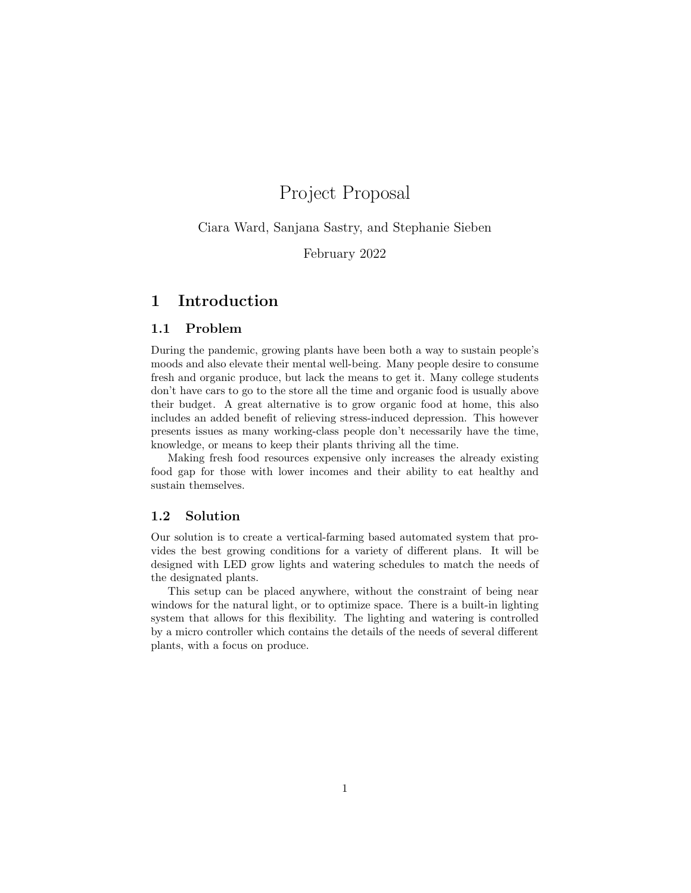# Project Proposal

Ciara Ward, Sanjana Sastry, and Stephanie Sieben

February 2022

# 1 Introduction

### 1.1 Problem

During the pandemic, growing plants have been both a way to sustain people's moods and also elevate their mental well-being. Many people desire to consume fresh and organic produce, but lack the means to get it. Many college students don't have cars to go to the store all the time and organic food is usually above their budget. A great alternative is to grow organic food at home, this also includes an added benefit of relieving stress-induced depression. This however presents issues as many working-class people don't necessarily have the time, knowledge, or means to keep their plants thriving all the time.

Making fresh food resources expensive only increases the already existing food gap for those with lower incomes and their ability to eat healthy and sustain themselves.

#### 1.2 Solution

Our solution is to create a vertical-farming based automated system that provides the best growing conditions for a variety of different plans. It will be designed with LED grow lights and watering schedules to match the needs of the designated plants.

This setup can be placed anywhere, without the constraint of being near windows for the natural light, or to optimize space. There is a built-in lighting system that allows for this flexibility. The lighting and watering is controlled by a micro controller which contains the details of the needs of several different plants, with a focus on produce.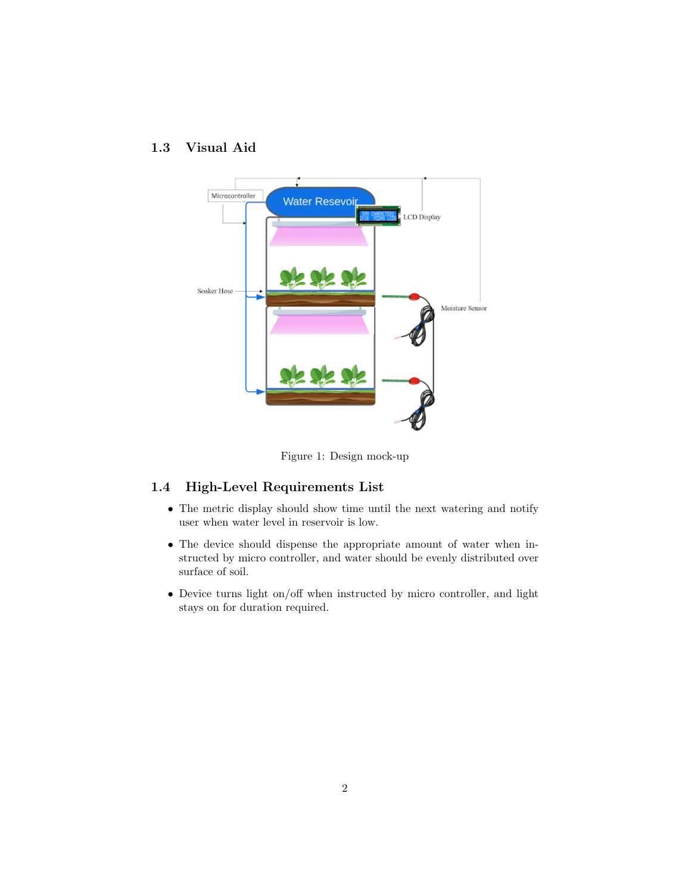### 1.3 Visual Aid



Figure 1: Design mock-up

# 1.4 High-Level Requirements List

- The metric display should show time until the next watering and notify user when water level in reservoir is low.
- The device should dispense the appropriate amount of water when instructed by micro controller, and water should be evenly distributed over surface of soil.
- Device turns light on/off when instructed by micro controller, and light stays on for duration required.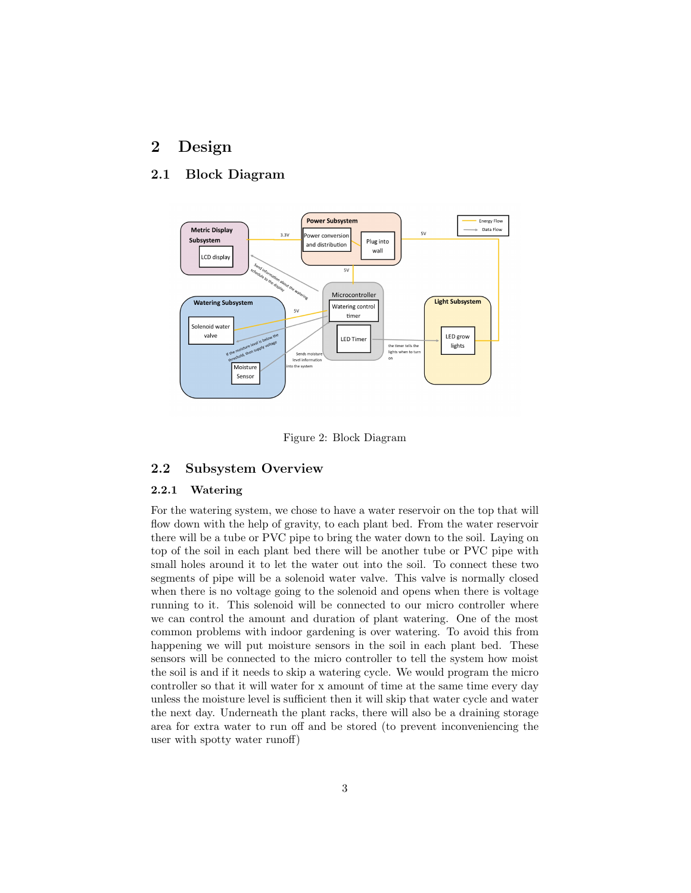# 2 Design

### 2.1 Block Diagram



Figure 2: Block Diagram

#### 2.2 Subsystem Overview

#### 2.2.1 Watering

For the watering system, we chose to have a water reservoir on the top that will flow down with the help of gravity, to each plant bed. From the water reservoir there will be a tube or PVC pipe to bring the water down to the soil. Laying on top of the soil in each plant bed there will be another tube or PVC pipe with small holes around it to let the water out into the soil. To connect these two segments of pipe will be a solenoid water valve. This valve is normally closed when there is no voltage going to the solenoid and opens when there is voltage running to it. This solenoid will be connected to our micro controller where we can control the amount and duration of plant watering. One of the most common problems with indoor gardening is over watering. To avoid this from happening we will put moisture sensors in the soil in each plant bed. These sensors will be connected to the micro controller to tell the system how moist the soil is and if it needs to skip a watering cycle. We would program the micro controller so that it will water for x amount of time at the same time every day unless the moisture level is sufficient then it will skip that water cycle and water the next day. Underneath the plant racks, there will also be a draining storage area for extra water to run off and be stored (to prevent inconveniencing the user with spotty water runoff)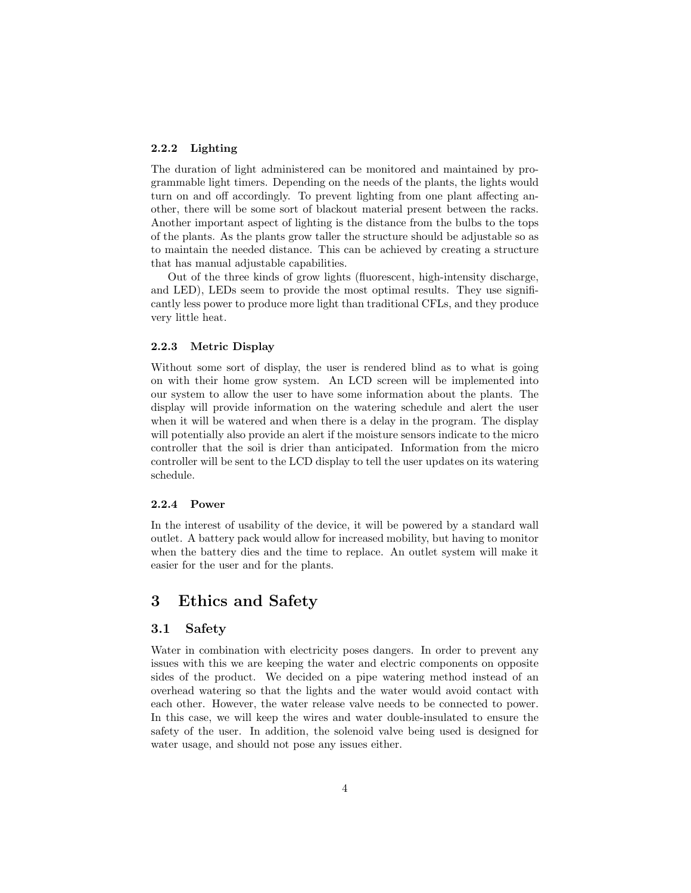#### 2.2.2 Lighting

The duration of light administered can be monitored and maintained by programmable light timers. Depending on the needs of the plants, the lights would turn on and off accordingly. To prevent lighting from one plant affecting another, there will be some sort of blackout material present between the racks. Another important aspect of lighting is the distance from the bulbs to the tops of the plants. As the plants grow taller the structure should be adjustable so as to maintain the needed distance. This can be achieved by creating a structure that has manual adjustable capabilities.

Out of the three kinds of grow lights (fluorescent, high-intensity discharge, and LED), LEDs seem to provide the most optimal results. They use significantly less power to produce more light than traditional CFLs, and they produce very little heat.

#### 2.2.3 Metric Display

Without some sort of display, the user is rendered blind as to what is going on with their home grow system. An LCD screen will be implemented into our system to allow the user to have some information about the plants. The display will provide information on the watering schedule and alert the user when it will be watered and when there is a delay in the program. The display will potentially also provide an alert if the moisture sensors indicate to the micro controller that the soil is drier than anticipated. Information from the micro controller will be sent to the LCD display to tell the user updates on its watering schedule.

#### 2.2.4 Power

In the interest of usability of the device, it will be powered by a standard wall outlet. A battery pack would allow for increased mobility, but having to monitor when the battery dies and the time to replace. An outlet system will make it easier for the user and for the plants.

# 3 Ethics and Safety

#### 3.1 Safety

Water in combination with electricity poses dangers. In order to prevent any issues with this we are keeping the water and electric components on opposite sides of the product. We decided on a pipe watering method instead of an overhead watering so that the lights and the water would avoid contact with each other. However, the water release valve needs to be connected to power. In this case, we will keep the wires and water double-insulated to ensure the safety of the user. In addition, the solenoid valve being used is designed for water usage, and should not pose any issues either.